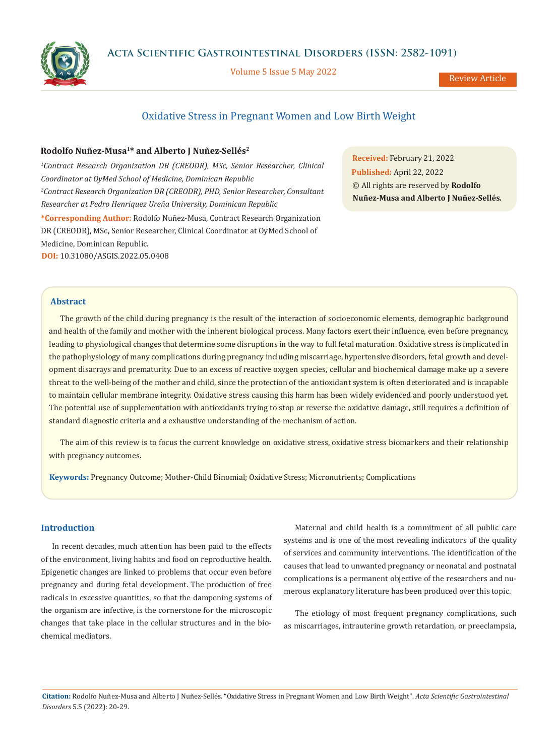

Volume 5 Issue 5 May 2022

Review Article

# Oxidative Stress in Pregnant Women and Low Birth Weight

# **Rodolfo Nuñez-Musa1\* and Alberto J Nuñez-Sellés2**

<sup>1</sup>Contract Research Organization DR (CREODR), MSc, Senior Researcher, Clinical *Coordinator at OyMed School of Medicine, Dominican Republic 2 Contract Research Organization DR (CREODR), PHD, Senior Researcher, Consultant Researcher at Pedro Henriquez Ureña University, Dominican Republic*

**\*Corresponding Author:** Rodolfo Nuñez-Musa, Contract Research Organization DR (CREODR), MSc, Senior Researcher, Clinical Coordinator at OyMed School of Medicine, Dominican Republic. **DOI:** [10.31080/ASGIS.2022.05.0408](https://actascientific.com/ASGIS/pdf/ASGIS-05-0408.pdf)

**Received:** February 21, 2022 **Published:** April 22, 2022 © All rights are reserved by **Rodolfo Nuñez-Musa and Alberto J Nuñez-Sellés***.*

# **Abstract**

The growth of the child during pregnancy is the result of the interaction of socioeconomic elements, demographic background and health of the family and mother with the inherent biological process. Many factors exert their influence, even before pregnancy, leading to physiological changes that determine some disruptions in the way to full fetal maturation. Oxidative stress is implicated in the pathophysiology of many complications during pregnancy including miscarriage, hypertensive disorders, fetal growth and development disarrays and prematurity. Due to an excess of reactive oxygen species, cellular and biochemical damage make up a severe threat to the well-being of the mother and child, since the protection of the antioxidant system is often deteriorated and is incapable to maintain cellular membrane integrity. Oxidative stress causing this harm has been widely evidenced and poorly understood yet. The potential use of supplementation with antioxidants trying to stop or reverse the oxidative damage, still requires a definition of standard diagnostic criteria and a exhaustive understanding of the mechanism of action.

The aim of this review is to focus the current knowledge on oxidative stress, oxidative stress biomarkers and their relationship with pregnancy outcomes.

**Keywords:** Pregnancy Outcome; Mother-Child Binomial; Oxidative Stress; Micronutrients; Complications

## **Introduction**

In recent decades, much attention has been paid to the effects of the environment, living habits and food on reproductive health. Epigenetic changes are linked to problems that occur even before pregnancy and during fetal development. The production of free radicals in excessive quantities, so that the dampening systems of the organism are infective, is the cornerstone for the microscopic changes that take place in the cellular structures and in the biochemical mediators.

Maternal and child health is a commitment of all public care systems and is one of the most revealing indicators of the quality of services and community interventions. The identification of the causes that lead to unwanted pregnancy or neonatal and postnatal complications is a permanent objective of the researchers and numerous explanatory literature has been produced over this topic.

The etiology of most frequent pregnancy complications, such as miscarriages, intrauterine growth retardation, or preeclampsia,

**Citation:** Rodolfo Nuñez-Musa and Alberto J Nuñez-Sellés*.* "Oxidative Stress in Pregnant Women and Low Birth Weight". *Acta Scientific Gastrointestinal Disorders* 5.5 (2022): 20-29.

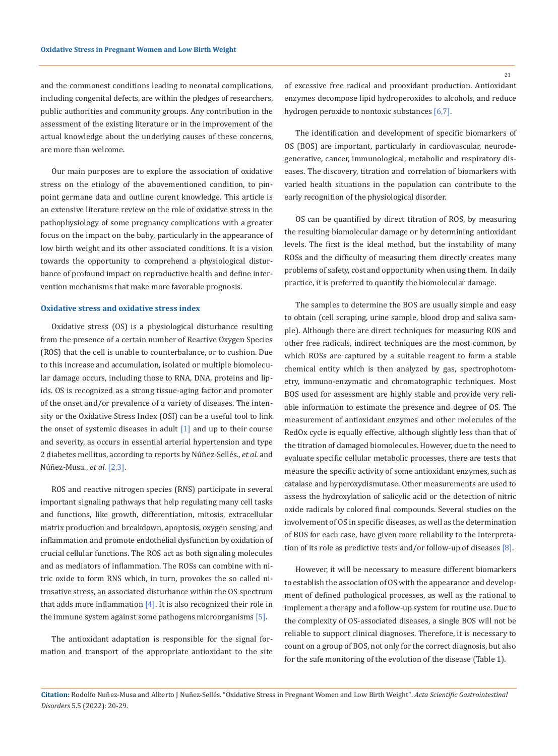and the commonest conditions leading to neonatal complications, including congenital defects, are within the pledges of researchers, public authorities and community groups. Any contribution in the assessment of the existing literature or in the improvement of the actual knowledge about the underlying causes of these concerns, are more than welcome.

Our main purposes are to explore the association of oxidative stress on the etiology of the abovementioned condition, to pinpoint germane data and outline curent knowledge. This article is an extensive literature review on the role of oxidative stress in the pathophysiology of some pregnancy complications with a greater focus on the impact on the baby, particularly in the appearance of low birth weight and its other associated conditions. It is a vision towards the opportunity to comprehend a physiological disturbance of profound impact on reproductive health and define intervention mechanisms that make more favorable prognosis.

# **Oxidative stress and oxidative stress index**

Oxidative stress (OS) is a physiological disturbance resulting from the presence of a certain number of Reactive Oxygen Species (ROS) that the cell is unable to counterbalance, or to cushion. Due to this increase and accumulation, isolated or multiple biomolecular damage occurs, including those to RNA, DNA, proteins and lipids. OS is recognized as a strong tissue-aging factor and promoter of the onset and/or prevalence of a variety of diseases. The intensity or the Oxidative Stress Index (OSI) can be a useful tool to link the onset of systemic diseases in adult  $[1]$  and up to their course and severity, as occurs in essential arterial hypertension and type 2 diabetes mellitus, according to reports by Núñez-Sellés., *et al.* and Núñez-Musa., *et al*. [2,3].

ROS and reactive nitrogen species (RNS) participate in several important signaling pathways that help regulating many cell tasks and functions, like growth, differentiation, mitosis, extracellular matrix production and breakdown, apoptosis, oxygen sensing, and inflammation and promote endothelial dysfunction by oxidation of crucial cellular functions. The ROS act as both signaling molecules and as mediators of inflammation. The ROSs can combine with nitric oxide to form RNS which, in turn, provokes the so called nitrosative stress, an associated disturbance within the OS spectrum that adds more inflammation  $[4]$ . It is also recognized their role in the immune system against some pathogens microorganisms [5].

The antioxidant adaptation is responsible for the signal formation and transport of the appropriate antioxidant to the site of excessive free radical and prooxidant production. Antioxidant enzymes decompose lipid hydroperoxides to alcohols, and reduce hydrogen peroxide to nontoxic substances [6,7].

The identification and development of specific biomarkers of OS (BOS) are important, particularly in cardiovascular, neurodegenerative, cancer, immunological, metabolic and respiratory diseases. The discovery, titration and correlation of biomarkers with varied health situations in the population can contribute to the early recognition of the physiological disorder.

OS can be quantified by direct titration of ROS, by measuring the resulting biomolecular damage or by determining antioxidant levels. The first is the ideal method, but the instability of many ROSs and the difficulty of measuring them directly creates many problems of safety, cost and opportunity when using them. In daily practice, it is preferred to quantify the biomolecular damage.

The samples to determine the BOS are usually simple and easy to obtain (cell scraping, urine sample, blood drop and saliva sample). Although there are direct techniques for measuring ROS and other free radicals, indirect techniques are the most common, by which ROSs are captured by a suitable reagent to form a stable chemical entity which is then analyzed by gas, spectrophotometry, immuno-enzymatic and chromatographic techniques. Most BOS used for assessment are highly stable and provide very reliable information to estimate the presence and degree of OS. The measurement of antioxidant enzymes and other molecules of the RedOx cycle is equally effective, although slightly less than that of the titration of damaged biomolecules. However, due to the need to evaluate specific cellular metabolic processes, there are tests that measure the specific activity of some antioxidant enzymes, such as catalase and hyperoxydismutase. Other measurements are used to assess the hydroxylation of salicylic acid or the detection of nitric oxide radicals by colored final compounds. Several studies on the involvement of OS in specific diseases, as well as the determination of BOS for each case, have given more reliability to the interpretation of its role as predictive tests and/or follow-up of diseases [8].

However, it will be necessary to measure different biomarkers to establish the association of OS with the appearance and development of defined pathological processes, as well as the rational to implement a therapy and a follow-up system for routine use. Due to the complexity of OS-associated diseases, a single BOS will not be reliable to support clinical diagnoses. Therefore, it is necessary to count on a group of BOS, not only for the correct diagnosis, but also for the safe monitoring of the evolution of the disease (Table 1).

21

**Citation:** Rodolfo Nuñez-Musa and Alberto J Nuñez-Sellés*.* "Oxidative Stress in Pregnant Women and Low Birth Weight". *Acta Scientific Gastrointestinal Disorders* 5.5 (2022): 20-29.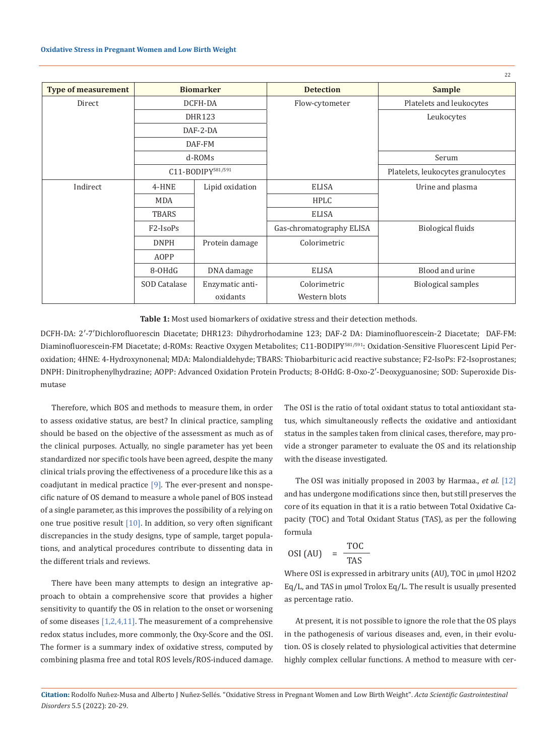|                            |                                   |                 |                          | 22                                 |
|----------------------------|-----------------------------------|-----------------|--------------------------|------------------------------------|
| <b>Type of measurement</b> | <b>Biomarker</b>                  |                 | <b>Detection</b>         | <b>Sample</b>                      |
| Direct                     |                                   | DCFH-DA         | Flow-cytometer           | Platelets and leukocytes           |
|                            | <b>DHR123</b>                     |                 |                          | Leukocytes                         |
|                            | DAF-2-DA                          |                 |                          |                                    |
|                            | DAF-FM                            |                 |                          |                                    |
|                            | $d-ROMs$                          |                 |                          | Serum                              |
|                            | C11-BODIPY581/591                 |                 |                          | Platelets, leukocytes granulocytes |
| Indirect                   | 4-HNE                             | Lipid oxidation | <b>ELISA</b>             | Urine and plasma                   |
|                            | <b>MDA</b>                        |                 | <b>HPLC</b>              |                                    |
|                            | TBARS                             |                 | <b>ELISA</b>             |                                    |
|                            | F <sub>2</sub> -IsoP <sub>S</sub> |                 | Gas-chromatography ELISA | <b>Biological fluids</b>           |
|                            | <b>DNPH</b>                       | Protein damage  | Colorimetric             |                                    |
|                            | <b>AOPP</b>                       |                 |                          |                                    |
|                            | 8-OHdG                            | DNA damage      | <b>ELISA</b>             | Blood and urine                    |
|                            | SOD Catalase                      | Enzymatic anti- | Colorimetric             | <b>Biological samples</b>          |
|                            |                                   | oxidants        | Western blots            |                                    |

**Table 1:** Most used biomarkers of oxidative stress and their detection methods.

DCFH-DA: 2′-7′Dichlorofluorescin Diacetate; DHR123: Dihydrorhodamine 123; DAF-2 DA: Diaminofluorescein-2 Diacetate; DAF-FM: Diaminofluorescein-FM Diacetate; d-ROMs: Reactive Oxygen Metabolites; C11-BODIPY<sup>581/591</sup>: Oxidation-Sensitive Fluorescent Lipid Peroxidation; 4HNE: 4-Hydroxynonenal; MDA: Malondialdehyde; TBARS: Thiobarbituric acid reactive substance; F2-IsoPs: F2-Isoprostanes; DNPH: Dinitrophenylhydrazine; AOPP: Advanced Oxidation Protein Products; 8-OHdG: 8-Oxo-2′-Deoxyguanosine; SOD: Superoxide Dismutase

Therefore, which BOS and methods to measure them, in order to assess oxidative status, are best? In clinical practice, sampling should be based on the objective of the assessment as much as of the clinical purposes. Actually, no single parameter has yet been standardized nor specific tools have been agreed, despite the many clinical trials proving the effectiveness of a procedure like this as a coadjutant in medical practice  $[9]$ . The ever-present and nonspecific nature of OS demand to measure a whole panel of BOS instead of a single parameter, as this improves the possibility of a relying on one true positive result  $[10]$ . In addition, so very often significant discrepancies in the study designs, type of sample, target populations, and analytical procedures contribute to dissenting data in the different trials and reviews.

There have been many attempts to design an integrative approach to obtain a comprehensive score that provides a higher sensitivity to quantify the OS in relation to the onset or worsening of some diseases [1,2,4,11]. The measurement of a comprehensive redox status includes, more commonly, the Oxy-Score and the OSI. The former is a summary index of oxidative stress, computed by combining plasma free and total ROS levels/ROS-induced damage. The OSI is the ratio of total oxidant status to total antioxidant status, which simultaneously reflects the oxidative and antioxidant status in the samples taken from clinical cases, therefore, may provide a stronger parameter to evaluate the OS and its relationship with the disease investigated.

The OSI was initially proposed in 2003 by Harmaa., *et al.* [12] and has undergone modifications since then, but still preserves the core of its equation in that it is a ratio between Total Oxidative Capacity (TOC) and Total Oxidant Status (TAS), as per the following formula

$$
OSI (AU) = \frac{TOC}{TAS}
$$

Where OSI is expressed in arbitrary units (AU), TOC in μmol H2O2 Eq/L, and TAS in μmol Trolox Eq/L. The result is usually presented as percentage ratio.

At present, it is not possible to ignore the role that the OS plays in the pathogenesis of various diseases and, even, in their evolution. OS is closely related to physiological activities that determine highly complex cellular functions. A method to measure with cer-

**Citation:** Rodolfo Nuñez-Musa and Alberto J Nuñez-Sellés*.* "Oxidative Stress in Pregnant Women and Low Birth Weight". *Acta Scientific Gastrointestinal Disorders* 5.5 (2022): 20-29.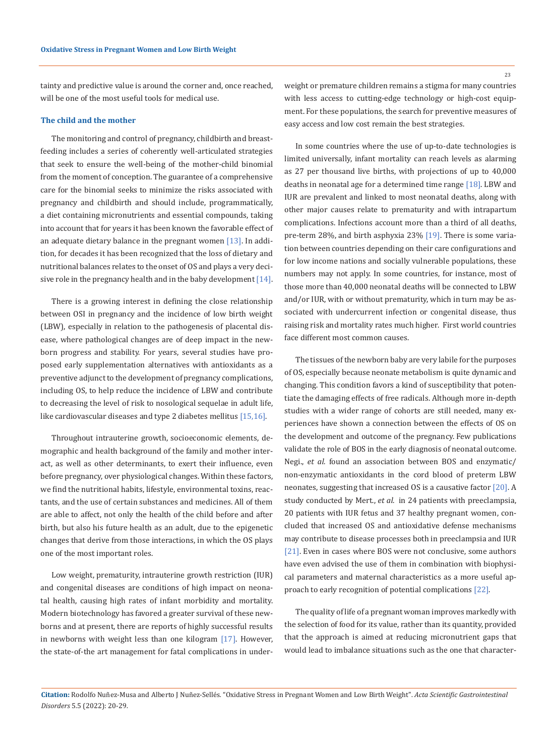tainty and predictive value is around the corner and, once reached, will be one of the most useful tools for medical use.

#### **The child and the mother**

The monitoring and control of pregnancy, childbirth and breastfeeding includes a series of coherently well-articulated strategies that seek to ensure the well-being of the mother-child binomial from the moment of conception. The guarantee of a comprehensive care for the binomial seeks to minimize the risks associated with pregnancy and childbirth and should include, programmatically, a diet containing micronutrients and essential compounds, taking into account that for years it has been known the favorable effect of an adequate dietary balance in the pregnant women [13]. In addition, for decades it has been recognized that the loss of dietary and nutritional balances relates to the onset of OS and plays a very decisive role in the pregnancy health and in the baby development  $[14]$ .

There is a growing interest in defining the close relationship between OSI in pregnancy and the incidence of low birth weight (LBW), especially in relation to the pathogenesis of placental disease, where pathological changes are of deep impact in the newborn progress and stability. For years, several studies have proposed early supplementation alternatives with antioxidants as a preventive adjunct to the development of pregnancy complications, including OS, to help reduce the incidence of LBW and contribute to decreasing the level of risk to nosological sequelae in adult life, like cardiovascular diseases and type 2 diabetes mellitus [15,16].

Throughout intrauterine growth, socioeconomic elements, demographic and health background of the family and mother interact, as well as other determinants, to exert their influence, even before pregnancy, over physiological changes. Within these factors, we find the nutritional habits, lifestyle, environmental toxins, reactants, and the use of certain substances and medicines. All of them are able to affect, not only the health of the child before and after birth, but also his future health as an adult, due to the epigenetic changes that derive from those interactions, in which the OS plays one of the most important roles.

Low weight, prematurity, intrauterine growth restriction (IUR) and congenital diseases are conditions of high impact on neonatal health, causing high rates of infant morbidity and mortality. Modern biotechnology has favored a greater survival of these newborns and at present, there are reports of highly successful results in newborns with weight less than one kilogram [17]. However, the state-of-the art management for fatal complications in underweight or premature children remains a stigma for many countries with less access to cutting-edge technology or high-cost equipment. For these populations, the search for preventive measures of easy access and low cost remain the best strategies.

In some countries where the use of up-to-date technologies is limited universally, infant mortality can reach levels as alarming as 27 per thousand live births, with projections of up to 40,000 deaths in neonatal age for a determined time range [18]. LBW and IUR are prevalent and linked to most neonatal deaths, along with other major causes relate to prematurity and with intrapartum complications. Infections account more than a third of all deaths, pre-term 28%, and birth asphyxia 23% [19]. There is some variation between countries depending on their care configurations and for low income nations and socially vulnerable populations, these numbers may not apply. In some countries, for instance, most of those more than 40,000 neonatal deaths will be connected to LBW and/or IUR, with or without prematurity, which in turn may be associated with undercurrent infection or congenital disease, thus raising risk and mortality rates much higher. First world countries face different most common causes.

The tissues of the newborn baby are very labile for the purposes of OS, especially because neonate metabolism is quite dynamic and changing. This condition favors a kind of susceptibility that potentiate the damaging effects of free radicals. Although more in-depth studies with a wider range of cohorts are still needed, many experiences have shown a connection between the effects of OS on the development and outcome of the pregnancy. Few publications validate the role of BOS in the early diagnosis of neonatal outcome. Negi., *et al.* found an association between BOS and enzymatic/ non-enzymatic antioxidants in the cord blood of preterm LBW neonates, suggesting that increased OS is a causative factor [20]. A study conducted by Mert., *et al.* in 24 patients with preeclampsia, 20 patients with IUR fetus and 37 healthy pregnant women, concluded that increased OS and antioxidative defense mechanisms may contribute to disease processes both in preeclampsia and IUR [21]. Even in cases where BOS were not conclusive, some authors have even advised the use of them in combination with biophysical parameters and maternal characteristics as a more useful approach to early recognition of potential complications [22].

The quality of life of a pregnant woman improves markedly with the selection of food for its value, rather than its quantity, provided that the approach is aimed at reducing micronutrient gaps that would lead to imbalance situations such as the one that character-

**Citation:** Rodolfo Nuñez-Musa and Alberto J Nuñez-Sellés*.* "Oxidative Stress in Pregnant Women and Low Birth Weight". *Acta Scientific Gastrointestinal Disorders* 5.5 (2022): 20-29.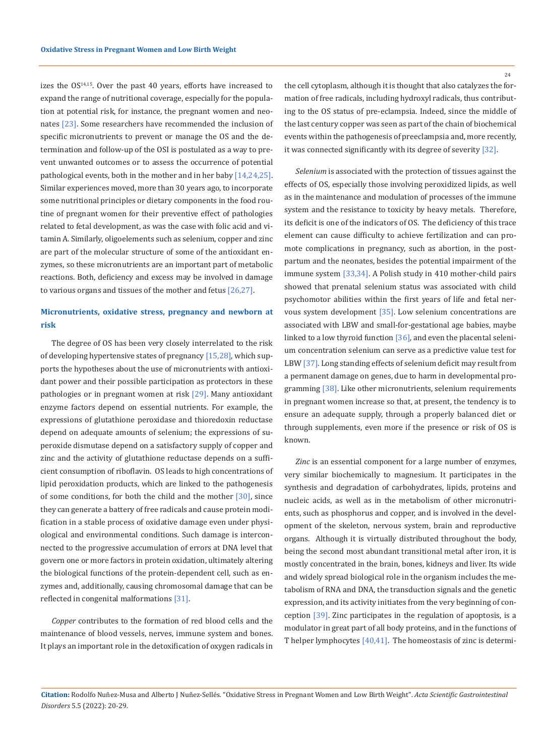izes the  $OS^{14,15}$ . Over the past 40 years, efforts have increased to expand the range of nutritional coverage, especially for the population at potential risk, for instance, the pregnant women and neonates [23]. Some researchers have recommended the inclusion of specific micronutrients to prevent or manage the OS and the determination and follow-up of the OSI is postulated as a way to prevent unwanted outcomes or to assess the occurrence of potential pathological events, both in the mother and in her baby [14,24,25]. Similar experiences moved, more than 30 years ago, to incorporate some nutritional principles or dietary components in the food routine of pregnant women for their preventive effect of pathologies related to fetal development, as was the case with folic acid and vitamin A. Similarly, oligoelements such as selenium, copper and zinc are part of the molecular structure of some of the antioxidant enzymes, so these micronutrients are an important part of metabolic reactions. Both, deficiency and excess may be involved in damage to various organs and tissues of the mother and fetus [26,27].

# **Micronutrients, oxidative stress, pregnancy and newborn at risk**

The degree of OS has been very closely interrelated to the risk of developing hypertensive states of pregnancy [15,28], which supports the hypotheses about the use of micronutrients with antioxidant power and their possible participation as protectors in these pathologies or in pregnant women at risk [29]. Many antioxidant enzyme factors depend on essential nutrients. For example, the expressions of glutathione peroxidase and thioredoxin reductase depend on adequate amounts of selenium; the expressions of superoxide dismutase depend on a satisfactory supply of copper and zinc and the activity of glutathione reductase depends on a sufficient consumption of riboflavin. OS leads to high concentrations of lipid peroxidation products, which are linked to the pathogenesis of some conditions, for both the child and the mother  $[30]$ , since they can generate a battery of free radicals and cause protein modification in a stable process of oxidative damage even under physiological and environmental conditions. Such damage is interconnected to the progressive accumulation of errors at DNA level that govern one or more factors in protein oxidation, ultimately altering the biological functions of the protein-dependent cell, such as enzymes and, additionally, causing chromosomal damage that can be reflected in congenital malformations [31].

*Copper* contributes to the formation of red blood cells and the maintenance of blood vessels, nerves, immune system and bones. It plays an important role in the detoxification of oxygen radicals in the cell cytoplasm, although it is thought that also catalyzes the formation of free radicals, including hydroxyl radicals, thus contributing to the OS status of pre-eclampsia. Indeed, since the middle of the last century copper was seen as part of the chain of biochemical events within the pathogenesis of preeclampsia and, more recently, it was connected significantly with its degree of severity [32].

*Selenium* is associated with the protection of tissues against the effects of OS, especially those involving peroxidized lipids, as well as in the maintenance and modulation of processes of the immune system and the resistance to toxicity by heavy metals. Therefore, its deficit is one of the indicators of OS. The deficiency of this trace element can cause difficulty to achieve fertilization and can promote complications in pregnancy, such as abortion, in the postpartum and the neonates, besides the potential impairment of the immune system [33,34]. A Polish study in 410 mother-child pairs showed that prenatal selenium status was associated with child psychomotor abilities within the first years of life and fetal nervous system development [35]. Low selenium concentrations are associated with LBW and small-for-gestational age babies, maybe linked to a low thyroid function [36], and even the placental selenium concentration selenium can serve as a predictive value test for LBW [37]. Long standing effects of selenium deficit may result from a permanent damage on genes, due to harm in developmental programming [38]. Like other micronutrients, selenium requirements in pregnant women increase so that, at present, the tendency is to ensure an adequate supply, through a properly balanced diet or through supplements, even more if the presence or risk of OS is known.

*Zinc* is an essential component for a large number of enzymes, very similar biochemically to magnesium. It participates in the synthesis and degradation of carbohydrates, lipids, proteins and nucleic acids, as well as in the metabolism of other micronutrients, such as phosphorus and copper, and is involved in the development of the skeleton, nervous system, brain and reproductive organs. Although it is virtually distributed throughout the body, being the second most abundant transitional metal after iron, it is mostly concentrated in the brain, bones, kidneys and liver. Its wide and widely spread biological role in the organism includes the metabolism of RNA and DNA, the transduction signals and the genetic expression, and its activity initiates from the very beginning of conception [39]. Zinc participates in the regulation of apoptosis, is a modulator in great part of all body proteins, and in the functions of T helper lymphocytes [40,41]. The homeostasis of zinc is determi-

**Citation:** Rodolfo Nuñez-Musa and Alberto J Nuñez-Sellés*.* "Oxidative Stress in Pregnant Women and Low Birth Weight". *Acta Scientific Gastrointestinal Disorders* 5.5 (2022): 20-29.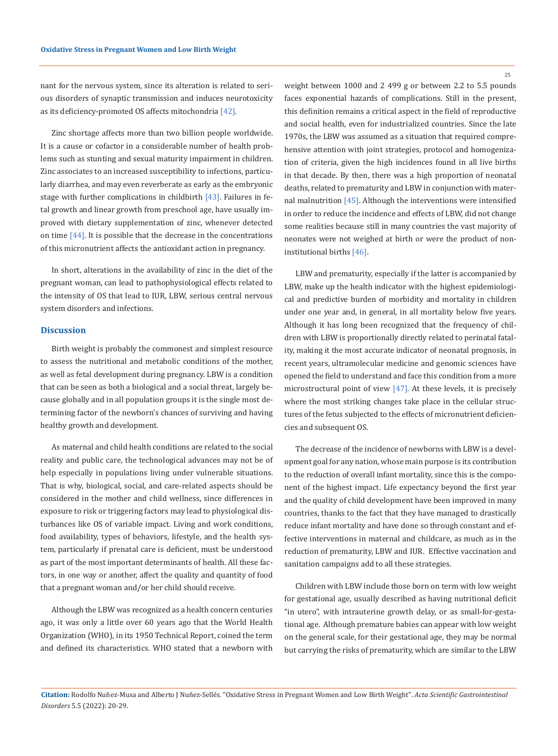nant for the nervous system, since its alteration is related to serious disorders of synaptic transmission and induces neurotoxicity as its deficiency-promoted OS affects mitochondria [42].

Zinc shortage affects more than two billion people worldwide. It is a cause or cofactor in a considerable number of health problems such as stunting and sexual maturity impairment in children. Zinc associates to an increased susceptibility to infections, particularly diarrhea, and may even reverberate as early as the embryonic stage with further complications in childbirth [43]. Failures in fetal growth and linear growth from preschool age, have usually improved with dietary supplementation of zinc, whenever detected on time  $[44]$ . It is possible that the decrease in the concentrations of this micronutrient affects the antioxidant action in pregnancy.

In short, alterations in the availability of zinc in the diet of the pregnant woman, can lead to pathophysiological effects related to the intensity of OS that lead to IUR, LBW, serious central nervous system disorders and infections.

### **Discussion**

Birth weight is probably the commonest and simplest resource to assess the nutritional and metabolic conditions of the mother, as well as fetal development during pregnancy. LBW is a condition that can be seen as both a biological and a social threat, largely because globally and in all population groups it is the single most determining factor of the newborn's chances of surviving and having healthy growth and development.

As maternal and child health conditions are related to the social reality and public care, the technological advances may not be of help especially in populations living under vulnerable situations. That is why, biological, social, and care-related aspects should be considered in the mother and child wellness, since differences in exposure to risk or triggering factors may lead to physiological disturbances like OS of variable impact. Living and work conditions, food availability, types of behaviors, lifestyle, and the health system, particularly if prenatal care is deficient, must be understood as part of the most important determinants of health. All these factors, in one way or another, affect the quality and quantity of food that a pregnant woman and/or her child should receive.

Although the LBW was recognized as a health concern centuries ago, it was only a little over 60 years ago that the World Health Organization (WHO), in its 1950 Technical Report, coined the term and defined its characteristics. WHO stated that a newborn with weight between 1000 and 2 499 g or between 2.2 to 5.5 pounds faces exponential hazards of complications. Still in the present, this definition remains a critical aspect in the field of reproductive and social health, even for industrialized countries. Since the late 1970s, the LBW was assumed as a situation that required comprehensive attention with joint strategies, protocol and homogenization of criteria, given the high incidences found in all live births in that decade. By then, there was a high proportion of neonatal deaths, related to prematurity and LBW in conjunction with maternal malnutrition [45]. Although the interventions were intensified in order to reduce the incidence and effects of LBW, did not change some realities because still in many countries the vast majority of neonates were not weighed at birth or were the product of noninstitutional births [46].

LBW and prematurity, especially if the latter is accompanied by LBW, make up the health indicator with the highest epidemiological and predictive burden of morbidity and mortality in children under one year and, in general, in all mortality below five years. Although it has long been recognized that the frequency of children with LBW is proportionally directly related to perinatal fatality, making it the most accurate indicator of neonatal prognosis, in recent years, ultramolecular medicine and genomic sciences have opened the field to understand and face this condition from a more microstructural point of view [47]. At these levels, it is precisely where the most striking changes take place in the cellular structures of the fetus subjected to the effects of micronutrient deficiencies and subsequent OS.

The decrease of the incidence of newborns with LBW is a development goal for any nation, whose main purpose is its contribution to the reduction of overall infant mortality, since this is the component of the highest impact. Life expectancy beyond the first year and the quality of child development have been improved in many countries, thanks to the fact that they have managed to drastically reduce infant mortality and have done so through constant and effective interventions in maternal and childcare, as much as in the reduction of prematurity, LBW and IUR. Effective vaccination and sanitation campaigns add to all these strategies.

Children with LBW include those born on term with low weight for gestational age, usually described as having nutritional deficit "in utero", with intrauterine growth delay, or as small-for-gestational age. Although premature babies can appear with low weight on the general scale, for their gestational age, they may be normal but carrying the risks of prematurity, which are similar to the LBW

**Citation:** Rodolfo Nuñez-Musa and Alberto J Nuñez-Sellés*.* "Oxidative Stress in Pregnant Women and Low Birth Weight". *Acta Scientific Gastrointestinal Disorders* 5.5 (2022): 20-29.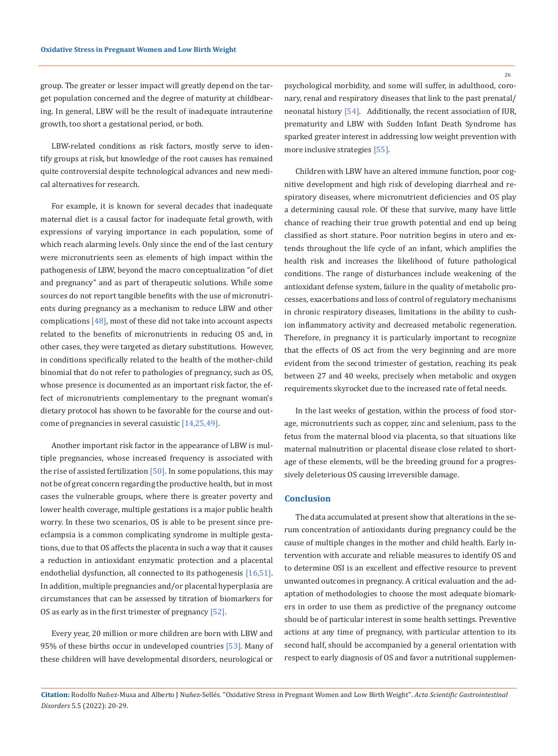group. The greater or lesser impact will greatly depend on the target population concerned and the degree of maturity at childbearing. In general, LBW will be the result of inadequate intrauterine growth, too short a gestational period, or both.

LBW-related conditions as risk factors, mostly serve to identify groups at risk, but knowledge of the root causes has remained quite controversial despite technological advances and new medical alternatives for research.

For example, it is known for several decades that inadequate maternal diet is a causal factor for inadequate fetal growth, with expressions of varying importance in each population, some of which reach alarming levels. Only since the end of the last century were micronutrients seen as elements of high impact within the pathogenesis of LBW, beyond the macro conceptualization "of diet and pregnancy" and as part of therapeutic solutions. While some sources do not report tangible benefits with the use of micronutrients during pregnancy as a mechanism to reduce LBW and other complications  $[48]$ , most of these did not take into account aspects related to the benefits of micronutrients in reducing OS and, in other cases, they were targeted as dietary substitutions. However, in conditions specifically related to the health of the mother-child binomial that do not refer to pathologies of pregnancy, such as OS, whose presence is documented as an important risk factor, the effect of micronutrients complementary to the pregnant woman's dietary protocol has shown to be favorable for the course and outcome of pregnancies in several casuistic [14,25,49].

Another important risk factor in the appearance of LBW is multiple pregnancies, whose increased frequency is associated with the rise of assisted fertilization  $[50]$ . In some populations, this may not be of great concern regarding the productive health, but in most cases the vulnerable groups, where there is greater poverty and lower health coverage, multiple gestations is a major public health worry. In these two scenarios, OS is able to be present since preeclampsia is a common complicating syndrome in multiple gestations, due to that OS affects the placenta in such a way that it causes a reduction in antioxidant enzymatic protection and a placental endothelial dysfunction, all connected to its pathogenesis [16,51]. In addition, multiple pregnancies and/or placental hyperplasia are circumstances that can be assessed by titration of biomarkers for OS as early as in the first trimester of pregnancy [52].

Every year, 20 million or more children are born with LBW and 95% of these births occur in undeveloped countries [53]. Many of these children will have developmental disorders, neurological or psychological morbidity, and some will suffer, in adulthood, coronary, renal and respiratory diseases that link to the past prenatal/ neonatal history [54]. Additionally, the recent association of IUR, prematurity and LBW with Sudden Infant Death Syndrome has sparked greater interest in addressing low weight prevention with more inclusive strategies [55].

Children with LBW have an altered immune function, poor cognitive development and high risk of developing diarrheal and respiratory diseases, where micronutrient deficiencies and OS play a determining causal role. Of these that survive, many have little chance of reaching their true growth potential and end up being classified as short stature. Poor nutrition begins in utero and extends throughout the life cycle of an infant, which amplifies the health risk and increases the likelihood of future pathological conditions. The range of disturbances include weakening of the antioxidant defense system, failure in the quality of metabolic processes, exacerbations and loss of control of regulatory mechanisms in chronic respiratory diseases, limitations in the ability to cushion inflammatory activity and decreased metabolic regeneration. Therefore, in pregnancy it is particularly important to recognize that the effects of OS act from the very beginning and are more evident from the second trimester of gestation, reaching its peak between 27 and 40 weeks, precisely when metabolic and oxygen requirements skyrocket due to the increased rate of fetal needs.

In the last weeks of gestation, within the process of food storage, micronutrients such as copper, zinc and selenium, pass to the fetus from the maternal blood via placenta, so that situations like maternal malnutrition or placental disease close related to shortage of these elements, will be the breeding ground for a progressively deleterious OS causing irreversible damage.

## **Conclusion**

The data accumulated at present show that alterations in the serum concentration of antioxidants during pregnancy could be the cause of multiple changes in the mother and child health. Early intervention with accurate and reliable measures to identify OS and to determine OSI is an excellent and effective resource to prevent unwanted outcomes in pregnancy. A critical evaluation and the adaptation of methodologies to choose the most adequate biomarkers in order to use them as predictive of the pregnancy outcome should be of particular interest in some health settings. Preventive actions at any time of pregnancy, with particular attention to its second half, should be accompanied by a general orientation with respect to early diagnosis of OS and favor a nutritional supplemen-

26

**Citation:** Rodolfo Nuñez-Musa and Alberto J Nuñez-Sellés*.* "Oxidative Stress in Pregnant Women and Low Birth Weight". *Acta Scientific Gastrointestinal Disorders* 5.5 (2022): 20-29.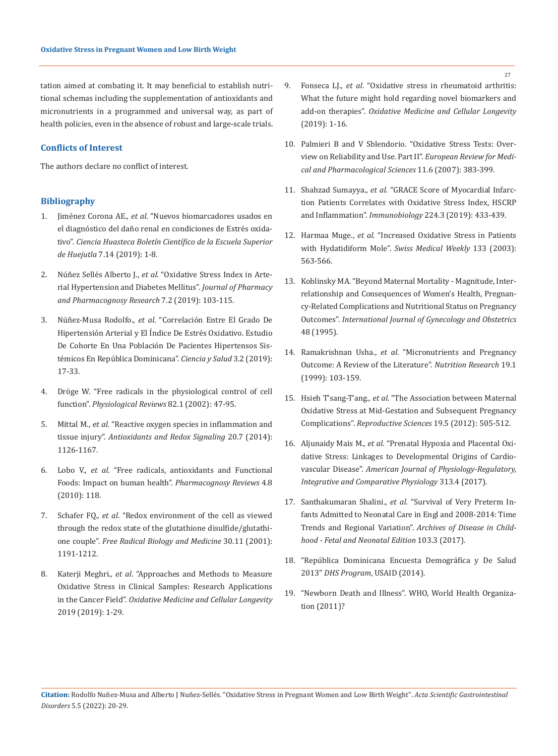tation aimed at combating it. It may beneficial to establish nutritional schemas including the supplementation of antioxidants and micronutrients in a programmed and universal way, as part of health policies, even in the absence of robust and large-scale trials.

### **Conflicts of Interest**

The authors declare no conflict of interest.

# **Bibliography**

- 1. Jiménez Corona AE., *et al*[. "Nuevos biomarcadores usados en](https://repository.uaeh.edu.mx/revistas/index.php/huejutla/article/view/4409) [el diagnóstico del daño renal en condiciones de Estrés oxida](https://repository.uaeh.edu.mx/revistas/index.php/huejutla/article/view/4409)tivo". *[Ciencia Huasteca Boletín Científico de la Escuela Superior](https://repository.uaeh.edu.mx/revistas/index.php/huejutla/article/view/4409) de Huejutla* [7.14 \(2019\): 1-8.](https://repository.uaeh.edu.mx/revistas/index.php/huejutla/article/view/4409)
- 2. Núñez Sellés Alberto J., *et al*[. "Oxidative Stress Index in Arte](https://jppres.com/jppres/pdf/vol7/jppres19.536_7.2.103.pdf)[rial Hypertension and Diabetes Mellitus".](https://jppres.com/jppres/pdf/vol7/jppres19.536_7.2.103.pdf) *Journal of Pharmacy [and Pharmacognosy Research](https://jppres.com/jppres/pdf/vol7/jppres19.536_7.2.103.pdf)* 7.2 (2019): 103-115.
- 3. Núñez-Musa Rodolfo., *et al*[. "Correlación Entre El Grado De](https://repositoriobiblioteca.intec.edu.do/handle/123456789/2742?show=full) [Hipertensión Arterial y El Índice De Estrés Oxidativo. Estudio](https://repositoriobiblioteca.intec.edu.do/handle/123456789/2742?show=full) [De Cohorte En Una Población De Pacientes Hipertensos Sis](https://repositoriobiblioteca.intec.edu.do/handle/123456789/2742?show=full)[témicos En República Dominicana".](https://repositoriobiblioteca.intec.edu.do/handle/123456789/2742?show=full) *Ciencia y Salud* 3.2 (2019): [17-33.](https://repositoriobiblioteca.intec.edu.do/handle/123456789/2742?show=full)
- 4. [Dröge W. "Free radicals in the physiological control of cell](https://pubmed.ncbi.nlm.nih.gov/11773609/) function". *[Physiological Reviews](https://pubmed.ncbi.nlm.nih.gov/11773609/)* 82.1 (2002): 47-95.
- 5. Mittal M., *et al*[. "Reactive oxygen species in inflammation and](https://pubmed.ncbi.nlm.nih.gov/23991888/) tissue injury". *[Antioxidants and Redox Signaling](https://pubmed.ncbi.nlm.nih.gov/23991888/)* 20.7 (2014): [1126-1167.](https://pubmed.ncbi.nlm.nih.gov/23991888/)
- 6. Lobo V., *et al*[. "Free radicals, antioxidants and Functional](https://pubmed.ncbi.nlm.nih.gov/22228951/) [Foods: Impact on human health".](https://pubmed.ncbi.nlm.nih.gov/22228951/) *Pharmacognosy Reviews* 4.8 [\(2010\): 118.](https://pubmed.ncbi.nlm.nih.gov/22228951/)
- 7. Schafer FQ., *et al*[. "Redox environment of the cell as viewed](https://pubmed.ncbi.nlm.nih.gov/11368918/) [through the redox state of the glutathione disulfide/glutathi](https://pubmed.ncbi.nlm.nih.gov/11368918/)one couple". *[Free Radical Biology and Medicine](https://pubmed.ncbi.nlm.nih.gov/11368918/)* 30.11 (2001): [1191-1212.](https://pubmed.ncbi.nlm.nih.gov/11368918/)
- 8. Katerji Meghri., *et al*[. "Approaches and Methods to Measure](https://pubmed.ncbi.nlm.nih.gov/30992736/) [Oxidative Stress in Clinical Samples: Research Applications](https://pubmed.ncbi.nlm.nih.gov/30992736/) in the Cancer Field". *[Oxidative Medicine and Cellular Longevity](https://pubmed.ncbi.nlm.nih.gov/30992736/)* [2019 \(2019\): 1-29.](https://pubmed.ncbi.nlm.nih.gov/30992736/)
- 9. Fonseca LJ., *et al*[. "Oxidative stress in rheumatoid arthritis:](https://pubmed.ncbi.nlm.nih.gov/31934269/)  [What the future might hold regarding novel biomarkers and](https://pubmed.ncbi.nlm.nih.gov/31934269/)  add-on therapies". *[Oxidative Medicine and Cellular Longevity](https://pubmed.ncbi.nlm.nih.gov/31934269/)* [\(2019\): 1-16.](https://pubmed.ncbi.nlm.nih.gov/31934269/)
- 10. [Palmieri B and V Sblendorio. "Oxidative Stress Tests: Over](https://pubmed.ncbi.nlm.nih.gov/18306907/)[view on Reliability and Use. Part II".](https://pubmed.ncbi.nlm.nih.gov/18306907/) *European Review for Medi[cal and Pharmacological Sciences](https://pubmed.ncbi.nlm.nih.gov/18306907/)* 11.6 (2007): 383-399.
- 11. Shahzad Sumayya., *et al*[. "GRACE Score of Myocardial Infarc](https://www.sciencedirect.com/science/article/abs/pii/S0171298518302122)[tion Patients Correlates with Oxidative Stress Index, HSCRP](https://www.sciencedirect.com/science/article/abs/pii/S0171298518302122)  and Inflammation". *Immunobiology* [224.3 \(2019\): 433-439.](https://www.sciencedirect.com/science/article/abs/pii/S0171298518302122)
- 12. Harmaa Muge., *et al*[. "Increased Oxidative Stress in Patients](https://pubmed.ncbi.nlm.nih.gov/14691728/)  with Hydatidiform Mole". *[Swiss Medical Weekly](https://pubmed.ncbi.nlm.nih.gov/14691728/)* 133 (2003): [563-566.](https://pubmed.ncbi.nlm.nih.gov/14691728/)
- 13. [Koblinsky MA. "Beyond Maternal Mortality Magnitude, Inter](https://pubmed.ncbi.nlm.nih.gov/7672173/)[relationship and Consequences of Women's Health, Pregnan](https://pubmed.ncbi.nlm.nih.gov/7672173/)[cy-Related Complications and Nutritional Status on Pregnancy](https://pubmed.ncbi.nlm.nih.gov/7672173/)  Outcomes". *[International Journal of Gynecology and Obstetrics](https://pubmed.ncbi.nlm.nih.gov/7672173/)* [48 \(1995\).](https://pubmed.ncbi.nlm.nih.gov/7672173/)
- 14. Ramakrishnan Usha., *et al*[. "Micronutrients and Pregnancy](https://www.sciencedirect.com/science/article/abs/pii/S027153179800178X)  [Outcome: A Review of the Literature".](https://www.sciencedirect.com/science/article/abs/pii/S027153179800178X) *Nutrition Research* 19.1 [\(1999\): 103-159.](https://www.sciencedirect.com/science/article/abs/pii/S027153179800178X)
- 15. Hsieh T'sang-T'ang., *et al*[. "The Association between Maternal](https://pubmed.ncbi.nlm.nih.gov/22344728/)  [Oxidative Stress at Mid-Gestation and Subsequent Pregnancy](https://pubmed.ncbi.nlm.nih.gov/22344728/)  Complications". *[Reproductive Sciences](https://pubmed.ncbi.nlm.nih.gov/22344728/)* 19.5 (2012): 505-512.
- 16. Aljunaidy Mais M., *et al*[. "Prenatal Hypoxia and Placental Oxi](https://pubmed.ncbi.nlm.nih.gov/28794104/)[dative Stress: Linkages to Developmental Origins of Cardio](https://pubmed.ncbi.nlm.nih.gov/28794104/)vascular Disease". *[American Journal of Physiology-Regulatory,](https://pubmed.ncbi.nlm.nih.gov/28794104/)  [Integrative and Comparative Physiology](https://pubmed.ncbi.nlm.nih.gov/28794104/)* 313.4 (2017).
- 17. Santhakumaran Shalini., *et al*[. "Survival of Very Preterm In](https://pubmed.ncbi.nlm.nih.gov/28883097/)[fants Admitted to Neonatal Care in Engl and 2008-2014: Time](https://pubmed.ncbi.nlm.nih.gov/28883097/)  Trends and Regional Variation". *[Archives of Disease in Child](https://pubmed.ncbi.nlm.nih.gov/28883097/)[hood - Fetal and Neonatal Edition](https://pubmed.ncbi.nlm.nih.gov/28883097/)* 103.3 (2017).
- 18. ["República Dominicana Encuesta Demográfica y De Salud](https://dhsprogram.com/pubs/pdf/FR292/FR292.pdf)  2013" *[DHS Program](https://dhsprogram.com/pubs/pdf/FR292/FR292.pdf)*, USAID (2014).
- 19. "Newborn Death and Illness". WHO, World Health Organization (2011)?

27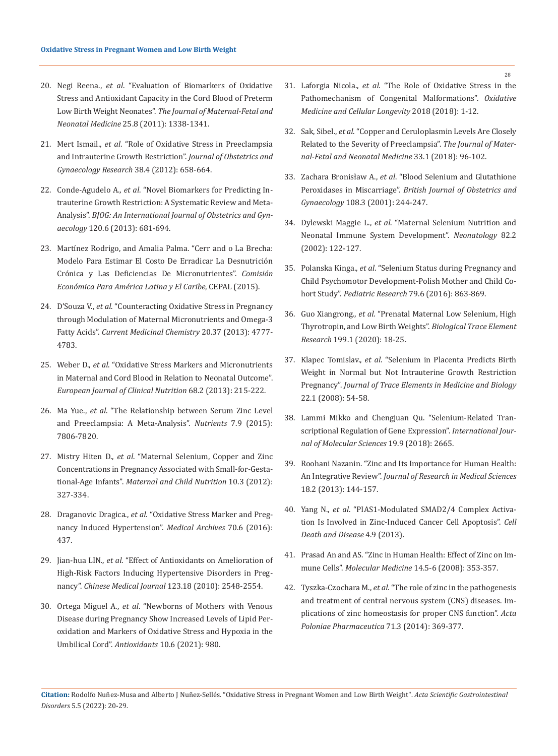- 20. Negi Reena., *et al*[. "Evaluation of Biomarkers of Oxidative](https://in.booksc.eu/book/22639206/390ccb)  [Stress and Antioxidant Capacity in the Cord Blood of Preterm](https://in.booksc.eu/book/22639206/390ccb)  Low Birth Weight Neonates". *[The Journal of Maternal-Fetal and](https://in.booksc.eu/book/22639206/390ccb)  Neonatal Medicine* [25.8 \(2011\): 1338-1341.](https://in.booksc.eu/book/22639206/390ccb)
- 21. Mert Ismail., *et al*[. "Role of Oxidative Stress in Preeclampsia](https://pubmed.ncbi.nlm.nih.gov/22380678/)  [and Intrauterine Growth Restriction".](https://pubmed.ncbi.nlm.nih.gov/22380678/) *Journal of Obstetrics and [Gynaecology Research](https://pubmed.ncbi.nlm.nih.gov/22380678/)* 38.4 (2012): 658-664.
- 22. Conde-Agudelo A., *et al*[. "Novel Biomarkers for Predicting In](https://pubmed.ncbi.nlm.nih.gov/23398929/)[trauterine Growth Restriction: A Systematic Review and Meta-](https://pubmed.ncbi.nlm.nih.gov/23398929/)Analysis". *[BJOG: An International Journal of Obstetrics and Gyn](https://pubmed.ncbi.nlm.nih.gov/23398929/)aecology* [120.6 \(2013\): 681-694.](https://pubmed.ncbi.nlm.nih.gov/23398929/)
- 23. [Martínez Rodrigo, and Amalia Palma. "Cerr and o La Brecha:](https://www.cepal.org/es/publicaciones/38234-cerrando-la-brecha-modelo-estimar-costo-erradicar-la-desnutricion-cronica)  [Modelo Para Estimar El Costo De Erradicar La Desnutrición](https://www.cepal.org/es/publicaciones/38234-cerrando-la-brecha-modelo-estimar-costo-erradicar-la-desnutricion-cronica)  [Crónica y Las Deficiencias De Micronutrientes".](https://www.cepal.org/es/publicaciones/38234-cerrando-la-brecha-modelo-estimar-costo-erradicar-la-desnutricion-cronica) *Comisión [Económica Para América Latina y El Caribe](https://www.cepal.org/es/publicaciones/38234-cerrando-la-brecha-modelo-estimar-costo-erradicar-la-desnutricion-cronica)*, CEPAL (2015).
- 24. D'Souza V., *et al*[. "Counteracting Oxidative Stress in Pregnancy](https://pubmed.ncbi.nlm.nih.gov/24274816/)  [through Modulation of Maternal Micronutrients and Omega-3](https://pubmed.ncbi.nlm.nih.gov/24274816/)  Fatty Acids". *[Current Medicinal Chemistry](https://pubmed.ncbi.nlm.nih.gov/24274816/)* 20.37 (2013): 4777- [4783.](https://pubmed.ncbi.nlm.nih.gov/24274816/)
- 25. Weber D., *et al*[. "Oxidative Stress Markers and Micronutrients](https://pubmed.ncbi.nlm.nih.gov/24327121/)  [in Maternal and Cord Blood in Relation to Neonatal Outcome".](https://pubmed.ncbi.nlm.nih.gov/24327121/)  *[European Journal of Clinical Nutrition](https://pubmed.ncbi.nlm.nih.gov/24327121/)* 68.2 (2013): 215-222.
- 26. Ma Yue., *et al*[. "The Relationship between Serum Zinc Level](https://www.ncbi.nlm.nih.gov/pmc/articles/PMC4586561/)  [and Preeclampsia: A Meta-Analysis".](https://www.ncbi.nlm.nih.gov/pmc/articles/PMC4586561/) *Nutrients* 7.9 (2015): [7806-7820.](https://www.ncbi.nlm.nih.gov/pmc/articles/PMC4586561/)
- 27. Mistry Hiten D., *et al*[. "Maternal Selenium, Copper and Zinc](https://pubmed.ncbi.nlm.nih.gov/22784110/)  [Concentrations in Pregnancy Associated with Small-for-Gesta](https://pubmed.ncbi.nlm.nih.gov/22784110/)tional-Age Infants". *[Maternal and Child Nutrition](https://pubmed.ncbi.nlm.nih.gov/22784110/)* 10.3 (2012): [327-334.](https://pubmed.ncbi.nlm.nih.gov/22784110/)
- 28. Draganovic Dragica., *et al*[. "Oxidative Stress Marker and Preg](https://pubmed.ncbi.nlm.nih.gov/28210016/)[nancy Induced Hypertension".](https://pubmed.ncbi.nlm.nih.gov/28210016/) *Medical Archives* 70.6 (2016): [437.](https://pubmed.ncbi.nlm.nih.gov/28210016/)
- 29. Jian-hua LIN., *et al*[. "Effect of Antioxidants on Amelioration of](https://medcentral.net/doi/10.3760/cma.j.issn.0366-6999.2010.18.010)  [High-Risk Factors Inducing Hypertensive Disorders in Preg](https://medcentral.net/doi/10.3760/cma.j.issn.0366-6999.2010.18.010)nancy". *[Chinese Medical Journal](https://medcentral.net/doi/10.3760/cma.j.issn.0366-6999.2010.18.010)* 123.18 (2010): 2548-2554.
- 30. Ortega Miguel A., *et al*[. "Newborns of Mothers with Venous](https://pubmed.ncbi.nlm.nih.gov/34207447/)  [Disease during Pregnancy Show Increased Levels of Lipid Per](https://pubmed.ncbi.nlm.nih.gov/34207447/)[oxidation and Markers of Oxidative Stress and Hypoxia in the](https://pubmed.ncbi.nlm.nih.gov/34207447/)  Umbilical Cord". *Antioxidants* [10.6 \(2021\): 980.](https://pubmed.ncbi.nlm.nih.gov/34207447/)
- 31. Laforgia Nicola., *et al*[. "The Role of Oxidative Stress in the](https://www.researchgate.net/publication/330015320_The_Role_of_Oxidative_Stress_in_the_Pathomechanism_of_Congenital_Malformations)  [Pathomechanism of Congenital Malformations".](https://www.researchgate.net/publication/330015320_The_Role_of_Oxidative_Stress_in_the_Pathomechanism_of_Congenital_Malformations) *Oxidative [Medicine and Cellular Longevity](https://www.researchgate.net/publication/330015320_The_Role_of_Oxidative_Stress_in_the_Pathomechanism_of_Congenital_Malformations)* 2018 (2018): 1-12.
- 32. Sak, Sibel., *et al*[. "Copper and Ceruloplasmin Levels Are Closely](https://pubmed.ncbi.nlm.nih.gov/29886772/)  [Related to the Severity of Preeclampsia".](https://pubmed.ncbi.nlm.nih.gov/29886772/) *The Journal of Mater[nal-Fetal and Neonatal Medicine](https://pubmed.ncbi.nlm.nih.gov/29886772/)* 33.1 (2018): 96-102.
- 33. Zachara Bronisław A., *et al*[. "Blood Selenium and Glutathione](https://ur.booksc.me/book/17948114/b3a2c6)  Peroxidases in Miscarriage". *[British Journal of Obstetrics and](https://ur.booksc.me/book/17948114/b3a2c6)  Gynaecology* [108.3 \(2001\): 244-247.](https://ur.booksc.me/book/17948114/b3a2c6)
- 34. Dylewski Maggie L., *et al*[. "Maternal Selenium Nutrition and](https://pubmed.ncbi.nlm.nih.gov/12169835/)  [Neonatal Immune System Development".](https://pubmed.ncbi.nlm.nih.gov/12169835/) *Neonatology* 82.2 [\(2002\): 122-127.](https://pubmed.ncbi.nlm.nih.gov/12169835/)
- 35. Polanska Kinga., *et al*[. "Selenium Status during Pregnancy and](https://pubmed.ncbi.nlm.nih.gov/26885758/)  [Child Psychomotor Development-Polish Mother and Child Co](https://pubmed.ncbi.nlm.nih.gov/26885758/)hort Study". *[Pediatric Research](https://pubmed.ncbi.nlm.nih.gov/26885758/)* 79.6 (2016): 863-869.
- 36. Guo Xiangrong., *et al*[. "Prenatal Maternal Low Selenium, High](https://pubmed.ncbi.nlm.nih.gov/32314141/)  [Thyrotropin, and Low Birth Weights".](https://pubmed.ncbi.nlm.nih.gov/32314141/) *Biological Trace Element Research* [199.1 \(2020\): 18-25.](https://pubmed.ncbi.nlm.nih.gov/32314141/)
- 37. Klapec Tomislav., *et al*[. "Selenium in Placenta Predicts Birth](https://pubmed.ncbi.nlm.nih.gov/18319141/)  [Weight in Normal but Not Intrauterine Growth Restriction](https://pubmed.ncbi.nlm.nih.gov/18319141/)  Pregnancy". *[Journal of Trace Elements in Medicine and Biology](https://pubmed.ncbi.nlm.nih.gov/18319141/)* [22.1 \(2008\): 54-58.](https://pubmed.ncbi.nlm.nih.gov/18319141/)
- 38. [Lammi Mikko and Chengjuan Qu. "Selenium-Related Tran](https://pubmed.ncbi.nlm.nih.gov/30205557/)[scriptional Regulation of Gene Expression".](https://pubmed.ncbi.nlm.nih.gov/30205557/) *International Jour[nal of Molecular Sciences](https://pubmed.ncbi.nlm.nih.gov/30205557/)* 19.9 (2018): 2665.
- 39. [Roohani Nazanin. "Zinc and Its Importance for Human Health:](https://pubmed.ncbi.nlm.nih.gov/23914218/)  An Integrative Review". *[Journal of Research in Medical Sciences](https://pubmed.ncbi.nlm.nih.gov/23914218/)*  [18.2 \(2013\): 144-157.](https://pubmed.ncbi.nlm.nih.gov/23914218/)
- 40. Yang N., *et al*[. "PIAS1-Modulated SMAD2/4 Complex Activa](https://www.nature.com/articles/cddis2013333)[tion Is Involved in Zinc-Induced Cancer Cell Apoptosis".](https://www.nature.com/articles/cddis2013333) *Cell [Death and Disease](https://www.nature.com/articles/cddis2013333)* 4.9 (2013).
- 41. [Prasad An and AS. "Zinc in Human Health: Effect of Zinc on Im](https://pubmed.ncbi.nlm.nih.gov/18385818/)mune Cells". *Molecular Medicine* [14.5-6 \(2008\): 353-357.](https://pubmed.ncbi.nlm.nih.gov/18385818/)
- 42. Tyszka-Czochara M., *et al*[. "The role of zinc in the pathogenesis](https://pubmed.ncbi.nlm.nih.gov/25265815/)  [and treatment of central nervous system \(CNS\) diseases. Im](https://pubmed.ncbi.nlm.nih.gov/25265815/)[plications of zinc homeostasis for proper CNS function".](https://pubmed.ncbi.nlm.nih.gov/25265815/) *Acta [Poloniae Pharmaceutica](https://pubmed.ncbi.nlm.nih.gov/25265815/)* 71.3 (2014): 369-377.